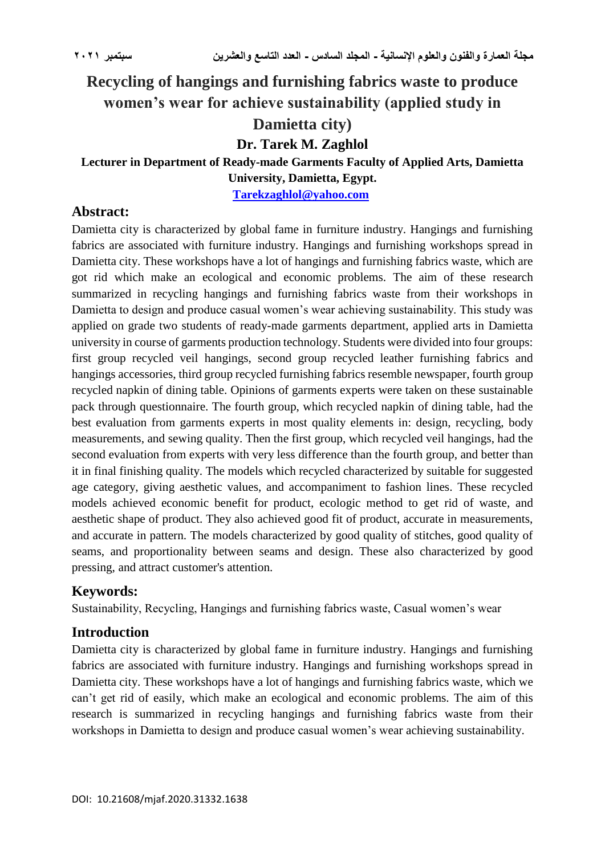# **Recycling of hangings and furnishing fabrics waste to produce women's wear for achieve sustainability (applied study in Damietta city)**

# **Dr. Tarek M. Zaghlol**

**Lecturer in Department of Ready-made Garments Faculty of Applied Arts, Damietta University, Damietta, Egypt.**

**[Tarekzaghlol@yahoo.com](mailto:Tarekzaghlol@yahoo.com)**

# **Abstract:**

Damietta city is characterized by global fame in furniture industry. Hangings and furnishing fabrics are associated with furniture industry. Hangings and furnishing workshops spread in Damietta city. These workshops have a lot of hangings and furnishing fabrics waste, which are got rid which make an ecological and economic problems. The aim of these research summarized in recycling hangings and furnishing fabrics waste from their workshops in Damietta to design and produce casual women's wear achieving sustainability. This study was applied on grade two students of ready-made garments department, applied arts in Damietta university in course of garments production technology. Students were divided into four groups: first group recycled veil hangings, second group recycled leather furnishing fabrics and hangings accessories, third group recycled furnishing fabrics resemble newspaper, fourth group recycled napkin of dining table. Opinions of garments experts were taken on these sustainable pack through questionnaire. The fourth group, which recycled napkin of dining table, had the best evaluation from garments experts in most quality elements in: design, recycling, body measurements, and sewing quality. Then the first group, which recycled veil hangings, had the second evaluation from experts with very less difference than the fourth group, and better than it in final finishing quality. The models which recycled characterized by suitable for suggested age category, giving aesthetic values, and accompaniment to fashion lines. These recycled models achieved economic benefit for product, ecologic method to get rid of waste, and aesthetic shape of product. They also achieved good fit of product, accurate in measurements, and accurate in pattern. The models characterized by good quality of stitches, good quality of seams, and proportionality between seams and design. These also characterized by good pressing, and attract customer's attention.

# **Keywords:**

Sustainability, Recycling, Hangings and furnishing fabrics waste, Casual women's wear

# **Introduction**

Damietta city is characterized by global fame in furniture industry. Hangings and furnishing fabrics are associated with furniture industry. Hangings and furnishing workshops spread in Damietta city. These workshops have a lot of hangings and furnishing fabrics waste, which we can't get rid of easily, which make an ecological and economic problems. The aim of this research is summarized in recycling hangings and furnishing fabrics waste from their workshops in Damietta to design and produce casual women's wear achieving sustainability.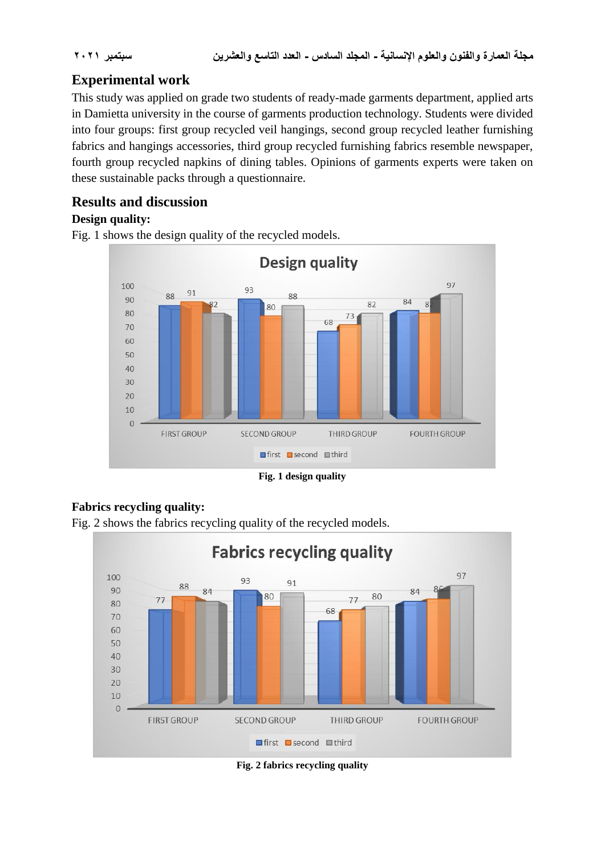# **Experimental work**

This study was applied on grade two students of ready-made garments department, applied arts in Damietta university in the course of garments production technology. Students were divided into four groups: first group recycled veil hangings, second group recycled leather furnishing fabrics and hangings accessories, third group recycled furnishing fabrics resemble newspaper, fourth group recycled napkins of dining tables. Opinions of garments experts were taken on these sustainable packs through a questionnaire.

# **Results and discussion**

# **Design quality:**

Fig. 1 shows the design quality of the recycled models.



**Fig. 1 design quality**

# **Fabrics recycling quality:**



Fig. 2 shows the fabrics recycling quality of the recycled models.

**Fig. 2 fabrics recycling quality**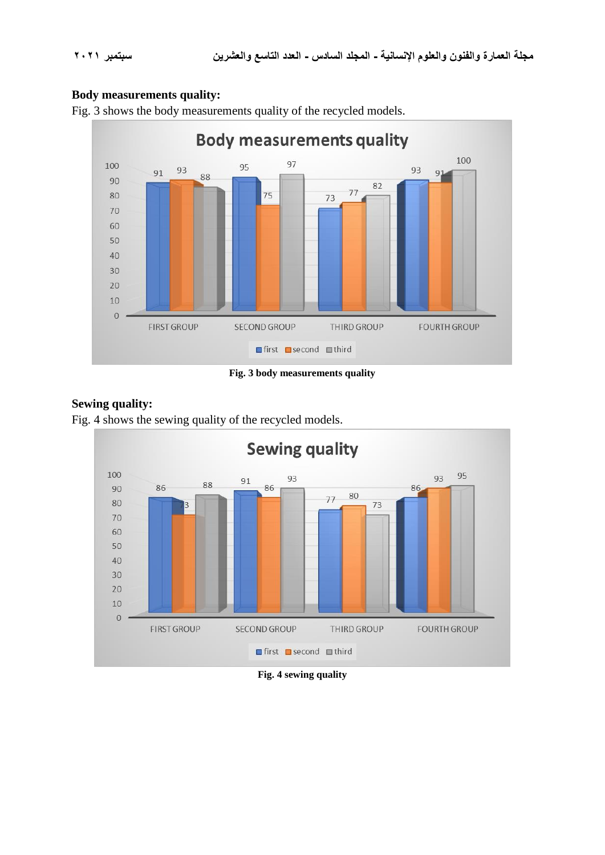#### **Body measurements quality:**



Fig. 3 shows the body measurements quality of the recycled models.

**Fig. 3 body measurements quality**

#### **Sewing quality:**

Fig. 4 shows the sewing quality of the recycled models.



**Fig. 4 sewing quality**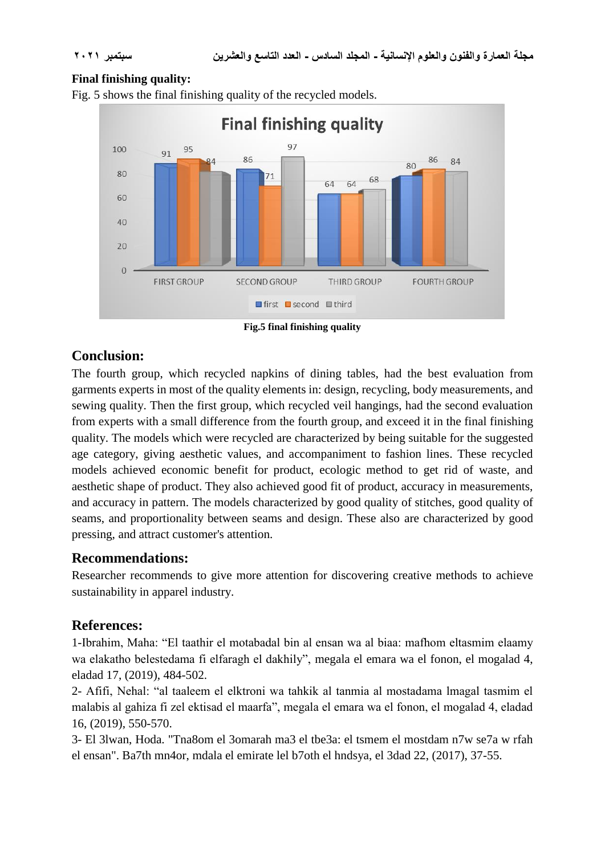#### **Final finishing quality:**



Fig. 5 shows the final finishing quality of the recycled models.

**Fig.5 final finishing quality**

# **Conclusion:**

The fourth group, which recycled napkins of dining tables, had the best evaluation from garments experts in most of the quality elements in: design, recycling, body measurements, and sewing quality. Then the first group, which recycled veil hangings, had the second evaluation from experts with a small difference from the fourth group, and exceed it in the final finishing quality. The models which were recycled are characterized by being suitable for the suggested age category, giving aesthetic values, and accompaniment to fashion lines. These recycled models achieved economic benefit for product, ecologic method to get rid of waste, and aesthetic shape of product. They also achieved good fit of product, accuracy in measurements, and accuracy in pattern. The models characterized by good quality of stitches, good quality of seams, and proportionality between seams and design. These also are characterized by good pressing, and attract customer's attention.

# **Recommendations:**

Researcher recommends to give more attention for discovering creative methods to achieve sustainability in apparel industry.

# **References:**

1-Ibrahim, Maha: "El taathir el motabadal bin al ensan wa al biaa: mafhom eltasmim elaamy wa elakatho belestedama fi elfaragh el dakhily", megala el emara wa el fonon, el mogalad 4, eladad 17, (2019), 484-502.

2- Afifi, Nehal: "al taaleem el elktroni wa tahkik al tanmia al mostadama lmagal tasmim el malabis al gahiza fi zel ektisad el maarfa", megala el emara wa el fonon, el mogalad 4, eladad 16, (2019), 550-570.

3- El 3lwan, Hoda. "Tna8om el 3omarah ma3 el tbe3a: el tsmem el mostdam n7w se7a w rfah el ensan". Ba7th mn4or, mdala el emirate lel b7oth el hndsya, el 3dad 22, (2017), 37-55.